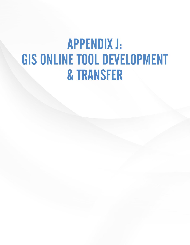# APPENDIX J: GIS ONLINE TOOL DEVELOPMENT & TRANSFER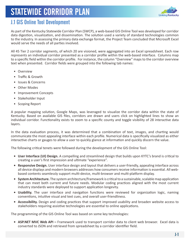## STATEWIDE CORRIDOR PLAN



### J.1 GIS Online Tool Development

As part of the Kentucky Statewide Corridor Plan (SWCP), a web-based GIS Online Tool was developed for corridor data digestion, visualization, and dissemination. The solution used a variety of standard technologies common to the industry. In assessing the primary data exchange format, the Project Team concluded that Microsoft Excel would serve the needs of all parties involved.

All 45 Tier 2 corridor segments, of which 20 are visioned, were aggregated into an Excel spreadsheet. Each row represents an individual corridor presented as a corridor profile within the web-based interface. Columns map to a specific field within the corridor profile. For instance, the column "Overview" maps to the corridor overview text when presented. Corridor fields were grouped into the following tab names:

- Overview
- Traffic & Growth
- Issues & Concerns
- Other Modes
- Improvement Concepts
- Stakeholder Input
- Scoping Report

A popular mapping solution, Google Maps, was leveraged to visualize the corridor data within the state of Kentucky. Based on available GIS files, corridors are drawn and users click on highlighted lines to show an individual corridor. Functionality exists to zoom to a specific county and toggle visibility of 28 interactive data layers.

In the data evaluation process, it was determined that a combination of text, images, and charting would communicate the most appealing interface within each profile. Numerical data is specifically visualized as either interactive charts or gauges to allow a user to quickly glance at information and quickly discern the value.

The following critical tenets were followed during the development of the GIS Online Tool:

- **• User Interface (UI) Design.** A compelling and streamlined design that builds upon KYTC's brand is critical to creating a user's first impression and ultimate "experience".
- **• Responsive Design.** User interface design and layout that delivers a user-friendly, appealing interface across all device displays and modern browsers addresses how consumers receive information is essential. All webbased contents seamlessly support multi-device, multi-browser and multi-platform display.
- **• System Architecture.** The system architecture/framework is critical to a sustainable, scalable map application that can meet both current and future needs. Modular coding practices aligned with the most current industry standards were deployed to support application longevity.
- **• Usability.** The user interface and navigation functions were reviewed for organization logic, naming conventions, intuitive visual and text cues, and overall user-friendliness.
- **• Accessibility.** Design and coding practices that support improved usability and broaden website access to stakeholders requiring assistive technologies are essential to online applications.

The programming of the GIS Online Tool was based on some key technologies:

**• ASP.NET MVC Web API –** Framework used to transport corridor data to client web browser. Excel data is converted to JSON and retrieved from spreadsheet by a corridor identifier field.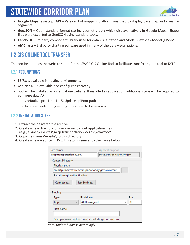## STATEWIDE CORRIDOR PLAN



- **• Google Maps Javascript API** Version 3 of mapping platform was used to display base map and visualize segments.
- **• GeoJSON –** Open standard format storing geometry data which displays natively in Google Maps. Shape files were exported to GeoJSON using standard tools.
- **• Kendo UI** 3rd party component library used for data visualization and Model View ViewModel (MVVM).
- **• AMCharts** 3rd party charting software used in many of the data visualizations.

### J.2 GIS ONLINE TOOL TRANSFER

This section outlines the website setup for the SWCP GIS Online Tool to facilitate transferring the tool to KYTC.

#### J.2.1 ASSUMPTIONS

- IIS 7.x is available in hosting environment.
- Asp.Net 4.5 is available and configured correctly.
- Tool will be installed as a standalone website. If installed as application, additional steps will be required to configure data API.
	- o /default.aspx Line 1115. Update apiRoot path
	- o Inherited web.config settings may need to be removed

#### J.2.2 INSTALLATION STEPS

- 1. Extract the delivered file archive.
- 2. Create a new directory on web server to host application files (e.g., e:\inetpub\sites\swcp.transportation.ky.gov\wwwroot\).
- 3. Copy files from Website\ to this directory.
- 4. Create a new website in IIS with settings similar to the figure below.

| Site name:                                                                                        | Application pool:          |
|---------------------------------------------------------------------------------------------------|----------------------------|
| swcp.transportation.ky.gov                                                                        | swcp.transportation.ky.gov |
| <b>Content Directory</b><br>Physical path:<br>e:\inetpub\sites\swcp.transportation.ky.gov\wwwroot |                            |
| <br>Pass-through authentication<br>Connect as<br>Test Settings                                    |                            |
| <b>Binding</b>                                                                                    |                            |
| IP address:<br>Type:                                                                              | Port:                      |
| All Unassigned<br>http<br>$\checkmark$                                                            | 80                         |
| Host name:<br>Example: www.contoso.com or marketing.contoso.com                                   |                            |

 *Note: Update bindings accordingly.*